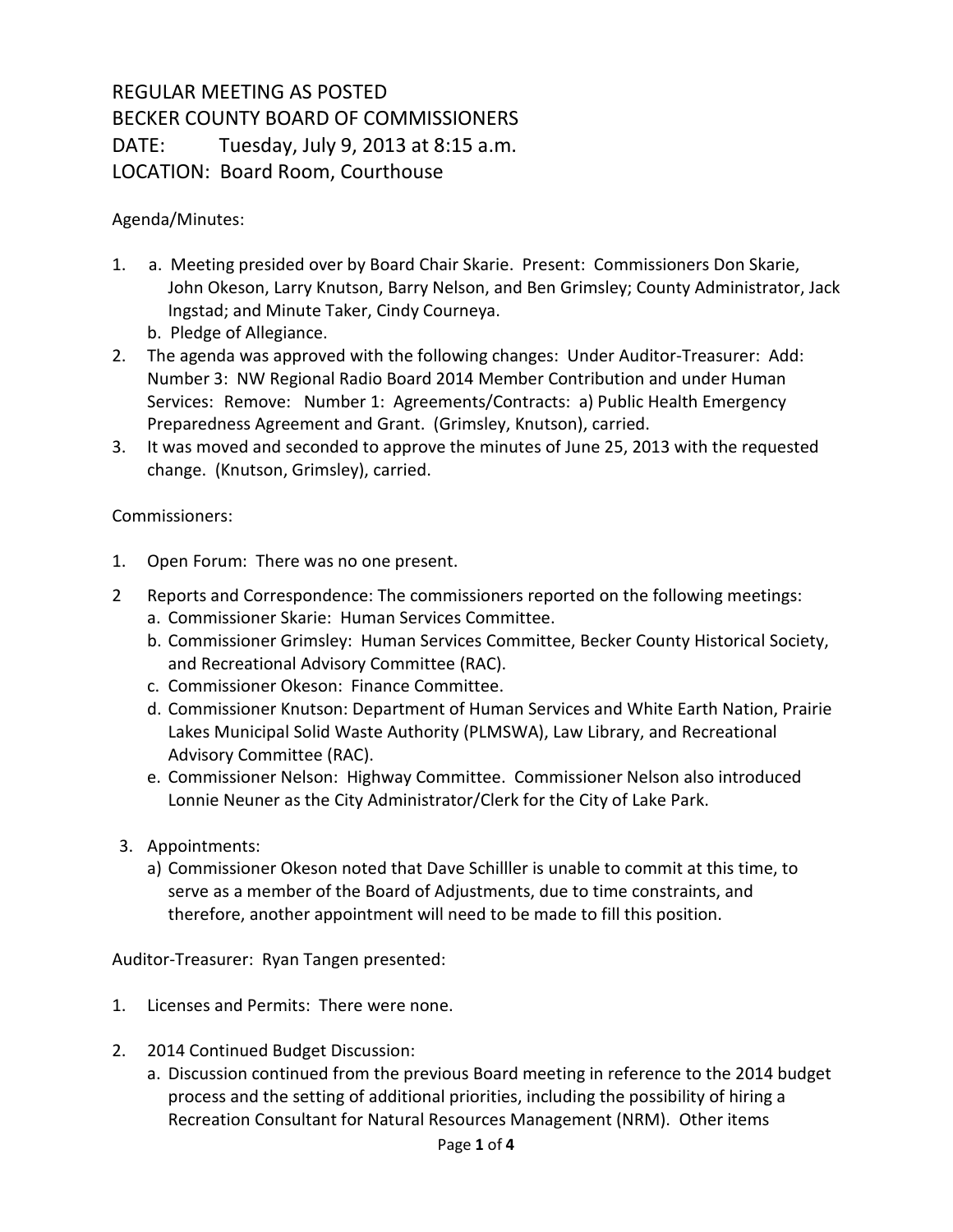## REGULAR MEETING AS POSTED BECKER COUNTY BOARD OF COMMISSIONERS DATE: Tuesday, July 9, 2013 at 8:15 a.m. LOCATION: Board Room, Courthouse

## Agenda/Minutes:

- 1. a. Meeting presided over by Board Chair Skarie. Present: Commissioners Don Skarie, John Okeson, Larry Knutson, Barry Nelson, and Ben Grimsley; County Administrator, Jack Ingstad; and Minute Taker, Cindy Courneya.
	- b. Pledge of Allegiance.
- 2. The agenda was approved with the following changes: Under Auditor-Treasurer: Add: Number 3: NW Regional Radio Board 2014 Member Contribution and under Human Services: Remove: Number 1: Agreements/Contracts: a) Public Health Emergency Preparedness Agreement and Grant. (Grimsley, Knutson), carried.
- 3. It was moved and seconded to approve the minutes of June 25, 2013 with the requested change. (Knutson, Grimsley), carried.

## Commissioners:

- 1. Open Forum: There was no one present.
- 2 Reports and Correspondence: The commissioners reported on the following meetings:
	- a. Commissioner Skarie: Human Services Committee.
	- b. Commissioner Grimsley: Human Services Committee, Becker County Historical Society, and Recreational Advisory Committee (RAC).
	- c. Commissioner Okeson: Finance Committee.
	- d. Commissioner Knutson: Department of Human Services and White Earth Nation, Prairie Lakes Municipal Solid Waste Authority (PLMSWA), Law Library, and Recreational Advisory Committee (RAC).
	- e. Commissioner Nelson: Highway Committee. Commissioner Nelson also introduced Lonnie Neuner as the City Administrator/Clerk for the City of Lake Park.
- 3. Appointments:
	- a) Commissioner Okeson noted that Dave Schilller is unable to commit at this time, to serve as a member of the Board of Adjustments, due to time constraints, and therefore, another appointment will need to be made to fill this position.

Auditor-Treasurer: Ryan Tangen presented:

- 1. Licenses and Permits: There were none.
- 2. 2014 Continued Budget Discussion:
	- a. Discussion continued from the previous Board meeting in reference to the 2014 budget process and the setting of additional priorities, including the possibility of hiring a Recreation Consultant for Natural Resources Management (NRM). Other items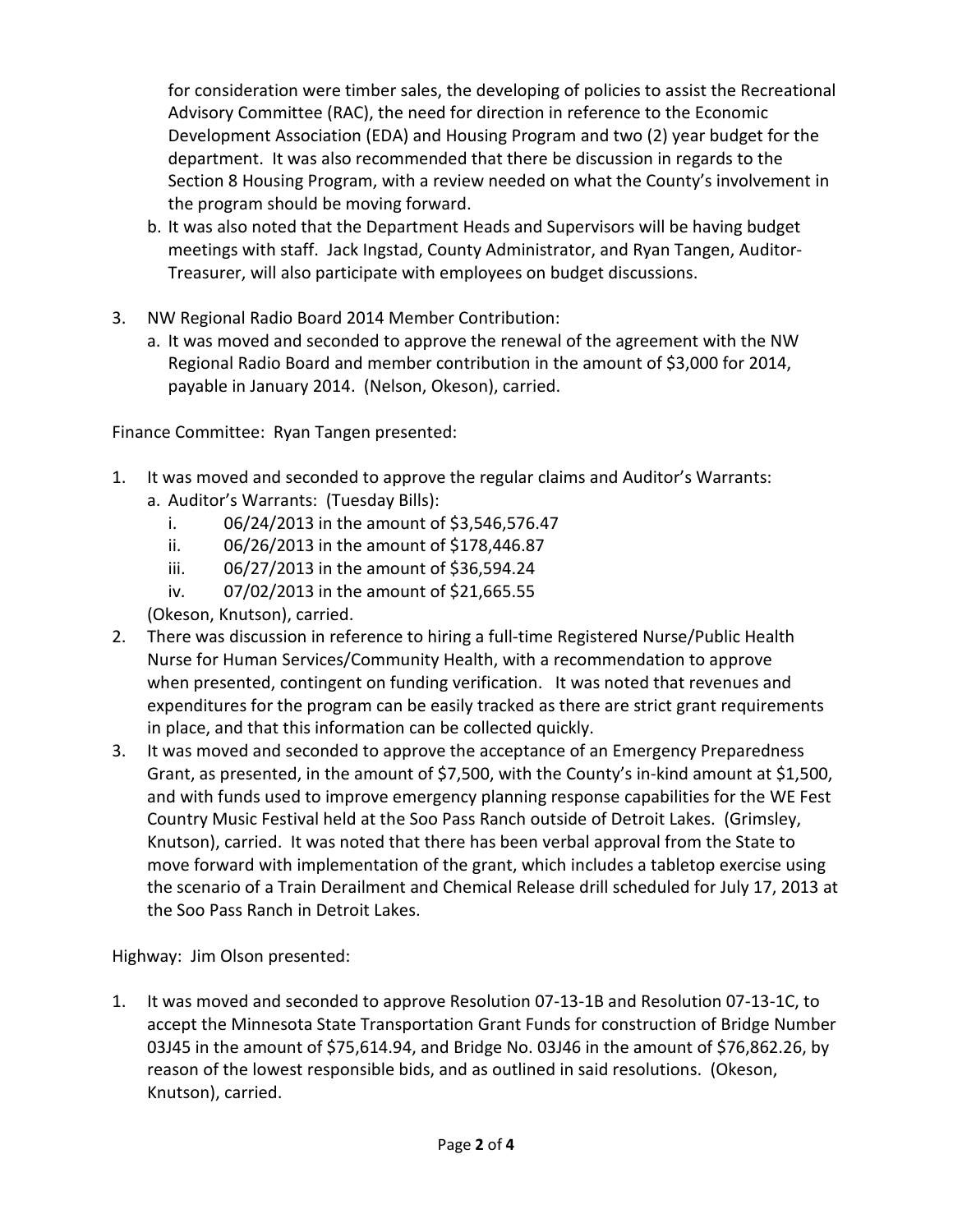for consideration were timber sales, the developing of policies to assist the Recreational Advisory Committee (RAC), the need for direction in reference to the Economic Development Association (EDA) and Housing Program and two (2) year budget for the department. It was also recommended that there be discussion in regards to the Section 8 Housing Program, with a review needed on what the County's involvement in the program should be moving forward.

- b. It was also noted that the Department Heads and Supervisors will be having budget meetings with staff. Jack Ingstad, County Administrator, and Ryan Tangen, Auditor-Treasurer, will also participate with employees on budget discussions.
- 3. NW Regional Radio Board 2014 Member Contribution:
	- a. It was moved and seconded to approve the renewal of the agreement with the NW Regional Radio Board and member contribution in the amount of \$3,000 for 2014, payable in January 2014. (Nelson, Okeson), carried.

Finance Committee: Ryan Tangen presented:

- 1. It was moved and seconded to approve the regular claims and Auditor's Warrants:
	- a. Auditor's Warrants: (Tuesday Bills):
		- i. 06/24/2013 in the amount of \$3,546,576.47
		- ii. 06/26/2013 in the amount of \$178,446.87
		- iii. 06/27/2013 in the amount of \$36,594.24
		- iv. 07/02/2013 in the amount of \$21,665.55

(Okeson, Knutson), carried.

- 2. There was discussion in reference to hiring a full-time Registered Nurse/Public Health Nurse for Human Services/Community Health, with a recommendation to approve when presented, contingent on funding verification. It was noted that revenues and expenditures for the program can be easily tracked as there are strict grant requirements in place, and that this information can be collected quickly.
- 3. It was moved and seconded to approve the acceptance of an Emergency Preparedness Grant, as presented, in the amount of \$7,500, with the County's in-kind amount at \$1,500, and with funds used to improve emergency planning response capabilities for the WE Fest Country Music Festival held at the Soo Pass Ranch outside of Detroit Lakes. (Grimsley, Knutson), carried. It was noted that there has been verbal approval from the State to move forward with implementation of the grant, which includes a tabletop exercise using the scenario of a Train Derailment and Chemical Release drill scheduled for July 17, 2013 at the Soo Pass Ranch in Detroit Lakes.

Highway: Jim Olson presented:

1. It was moved and seconded to approve Resolution 07-13-1B and Resolution 07-13-1C, to accept the Minnesota State Transportation Grant Funds for construction of Bridge Number 03J45 in the amount of \$75,614.94, and Bridge No. 03J46 in the amount of \$76,862.26, by reason of the lowest responsible bids, and as outlined in said resolutions. (Okeson, Knutson), carried.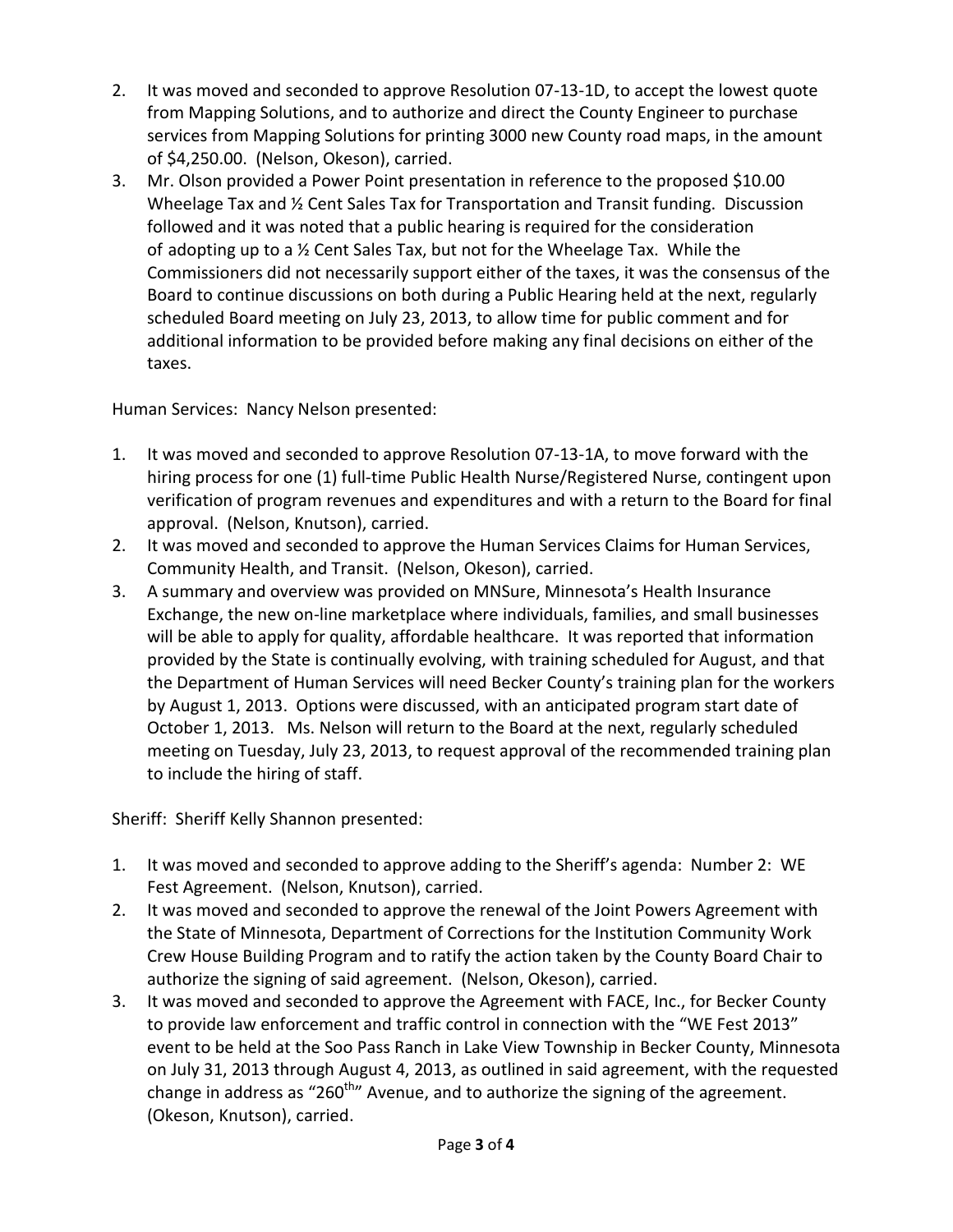- 2. It was moved and seconded to approve Resolution 07-13-1D, to accept the lowest quote from Mapping Solutions, and to authorize and direct the County Engineer to purchase services from Mapping Solutions for printing 3000 new County road maps, in the amount of \$4,250.00. (Nelson, Okeson), carried.
- 3. Mr. Olson provided a Power Point presentation in reference to the proposed \$10.00 Wheelage Tax and ½ Cent Sales Tax for Transportation and Transit funding. Discussion followed and it was noted that a public hearing is required for the consideration of adopting up to a  $\frac{1}{2}$  Cent Sales Tax, but not for the Wheelage Tax. While the Commissioners did not necessarily support either of the taxes, it was the consensus of the Board to continue discussions on both during a Public Hearing held at the next, regularly scheduled Board meeting on July 23, 2013, to allow time for public comment and for additional information to be provided before making any final decisions on either of the taxes.

Human Services: Nancy Nelson presented:

- 1. It was moved and seconded to approve Resolution 07-13-1A, to move forward with the hiring process for one (1) full-time Public Health Nurse/Registered Nurse, contingent upon verification of program revenues and expenditures and with a return to the Board for final approval. (Nelson, Knutson), carried.
- 2. It was moved and seconded to approve the Human Services Claims for Human Services, Community Health, and Transit. (Nelson, Okeson), carried.
- 3. A summary and overview was provided on MNSure, Minnesota's Health Insurance Exchange, the new on-line marketplace where individuals, families, and small businesses will be able to apply for quality, affordable healthcare. It was reported that information provided by the State is continually evolving, with training scheduled for August, and that the Department of Human Services will need Becker County's training plan for the workers by August 1, 2013. Options were discussed, with an anticipated program start date of October 1, 2013. Ms. Nelson will return to the Board at the next, regularly scheduled meeting on Tuesday, July 23, 2013, to request approval of the recommended training plan to include the hiring of staff.

Sheriff: Sheriff Kelly Shannon presented:

- 1. It was moved and seconded to approve adding to the Sheriff's agenda: Number 2: WE Fest Agreement. (Nelson, Knutson), carried.
- 2. It was moved and seconded to approve the renewal of the Joint Powers Agreement with the State of Minnesota, Department of Corrections for the Institution Community Work Crew House Building Program and to ratify the action taken by the County Board Chair to authorize the signing of said agreement. (Nelson, Okeson), carried.
- 3. It was moved and seconded to approve the Agreement with FACE, Inc., for Becker County to provide law enforcement and traffic control in connection with the "WE Fest 2013" event to be held at the Soo Pass Ranch in Lake View Township in Becker County, Minnesota on July 31, 2013 through August 4, 2013, as outlined in said agreement, with the requested change in address as "260<sup>th</sup>" Avenue, and to authorize the signing of the agreement. (Okeson, Knutson), carried.